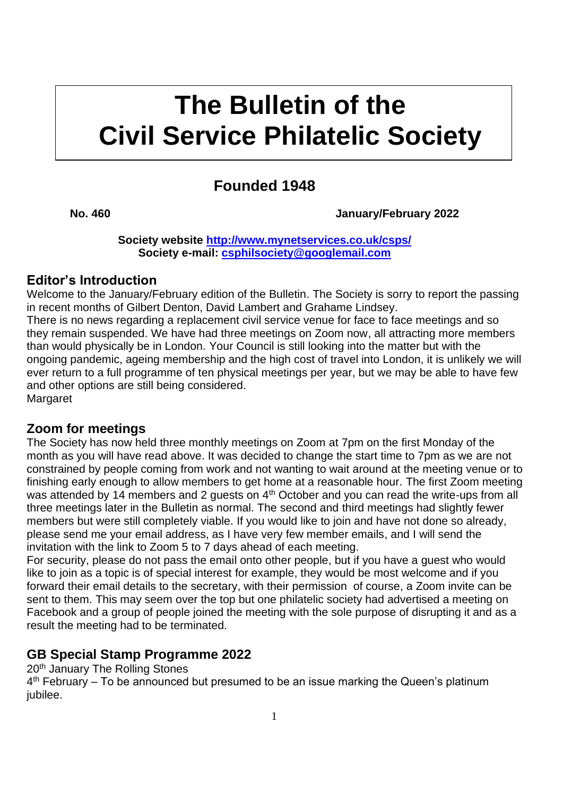# **kkkk The Bulletin of the Civil Service Philatelic Society**

## **Founded 1948**

### **No. 460 January/February 2022**

**Society website<http://www.mynetservices.co.uk/csps/> Society e-mail: [csphilsociety@googlemail.com](mailto:csphilsociety@googlemail.com)**

### **Editor's Introduction**

Welcome to the January/February edition of the Bulletin. The Society is sorry to report the passing in recent months of Gilbert Denton, David Lambert and Grahame Lindsey.

There is no news regarding a replacement civil service venue for face to face meetings and so they remain suspended. We have had three meetings on Zoom now, all attracting more members than would physically be in London. Your Council is still looking into the matter but with the ongoing pandemic, ageing membership and the high cost of travel into London, it is unlikely we will ever return to a full programme of ten physical meetings per year, but we may be able to have few and other options are still being considered. **Margaret** 

### **Zoom for meetings**

The Society has now held three monthly meetings on Zoom at 7pm on the first Monday of the month as you will have read above. It was decided to change the start time to 7pm as we are not constrained by people coming from work and not wanting to wait around at the meeting venue or to finishing early enough to allow members to get home at a reasonable hour. The first Zoom meeting was attended by 14 members and 2 quests on 4<sup>th</sup> October and you can read the write-ups from all three meetings later in the Bulletin as normal. The second and third meetings had slightly fewer members but were still completely viable. If you would like to join and have not done so already, please send me your email address, as I have very few member emails, and I will send the invitation with the link to Zoom 5 to 7 days ahead of each meeting.

For security, please do not pass the email onto other people, but if you have a guest who would like to join as a topic is of special interest for example, they would be most welcome and if you forward their email details to the secretary, with their permission of course, a Zoom invite can be sent to them. This may seem over the top but one philatelic society had advertised a meeting on Facebook and a group of people joined the meeting with the sole purpose of disrupting it and as a result the meeting had to be terminated.

### **GB Special Stamp Programme 2022**

20<sup>th</sup> January The Rolling Stones

4<sup>th</sup> February – To be announced but presumed to be an issue marking the Queen's platinum jubilee.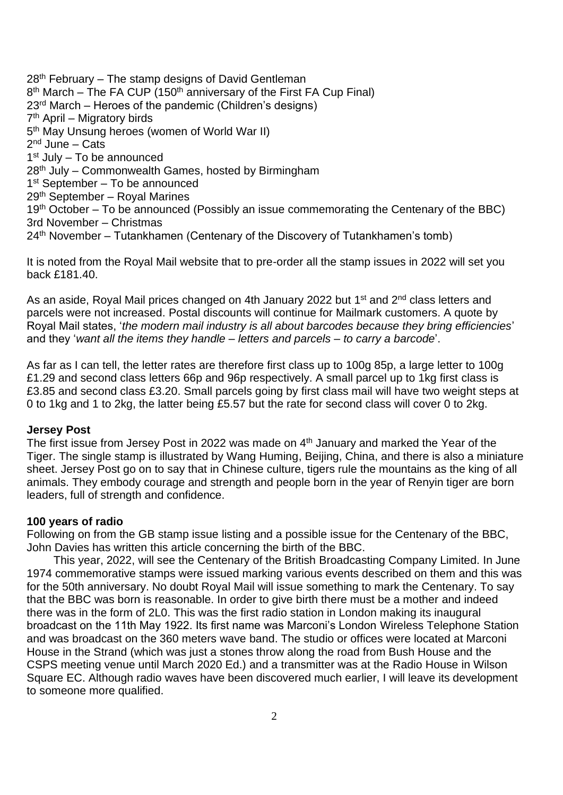28<sup>th</sup> February – The stamp designs of David Gentleman 8<sup>th</sup> March – The FA CUP (150<sup>th</sup> anniversary of the First FA Cup Final) 23rd March – Heroes of the pandemic (Children's designs) 7 th April – Migratory birds 5<sup>th</sup> May Unsung heroes (women of World War II) 2<sup>nd</sup> June – Cats 1<sup>st</sup> July – To be announced 28th July – Commonwealth Games, hosted by Birmingham 1<sup>st</sup> September - To be announced 29th September – Royal Marines 19<sup>th</sup> October – To be announced (Possibly an issue commemorating the Centenary of the BBC) 3rd November – Christmas 24th November – Tutankhamen (Centenary of the Discovery of Tutankhamen's tomb)

It is noted from the Royal Mail website that to pre-order all the stamp issues in 2022 will set you back £181.40.

As an aside, Royal Mail prices changed on 4th January 2022 but 1<sup>st</sup> and 2<sup>nd</sup> class letters and parcels were not increased. Postal discounts will continue for Mailmark customers. A quote by Royal Mail states, '*the modern mail industry is all about barcodes because they bring efficiencies*' and they '*want all the items they handle – letters and parcels – to carry a barcode*'.

As far as I can tell, the letter rates are therefore first class up to 100g 85p, a large letter to 100g £1.29 and second class letters 66p and 96p respectively. A small parcel up to 1kg first class is £3.85 and second class £3.20. Small parcels going by first class mail will have two weight steps at 0 to 1kg and 1 to 2kg, the latter being £5.57 but the rate for second class will cover 0 to 2kg.

### **Jersey Post**

The first issue from Jersey Post in 2022 was made on  $4<sup>th</sup>$  January and marked the Year of the Tiger. The single stamp is illustrated by Wang Huming, Beijing, China, and there is also a miniature sheet. Jersey Post go on to say that in Chinese culture, tigers rule the mountains as the king of all animals. They embody courage and strength and people born in the year of Renyin tiger are born leaders, full of strength and confidence.

### **100 years of radio**

Following on from the GB stamp issue listing and a possible issue for the Centenary of the BBC, John Davies has written this article concerning the birth of the BBC.

This year, 2022, will see the Centenary of the British Broadcasting Company Limited. In June 1974 commemorative stamps were issued marking various events described on them and this was for the 50th anniversary. No doubt Royal Mail will issue something to mark the Centenary. To say that the BBC was born is reasonable. In order to give birth there must be a mother and indeed there was in the form of 2L0. This was the first radio station in London making its inaugural broadcast on the 11th May 1922. Its first name was Marconi's London Wireless Telephone Station and was broadcast on the 360 meters wave band. The studio or offices were located at Marconi House in the Strand (which was just a stones throw along the road from Bush House and the CSPS meeting venue until March 2020 Ed.) and a transmitter was at the Radio House in Wilson Square EC. Although radio waves have been discovered much earlier, I will leave its development to someone more qualified.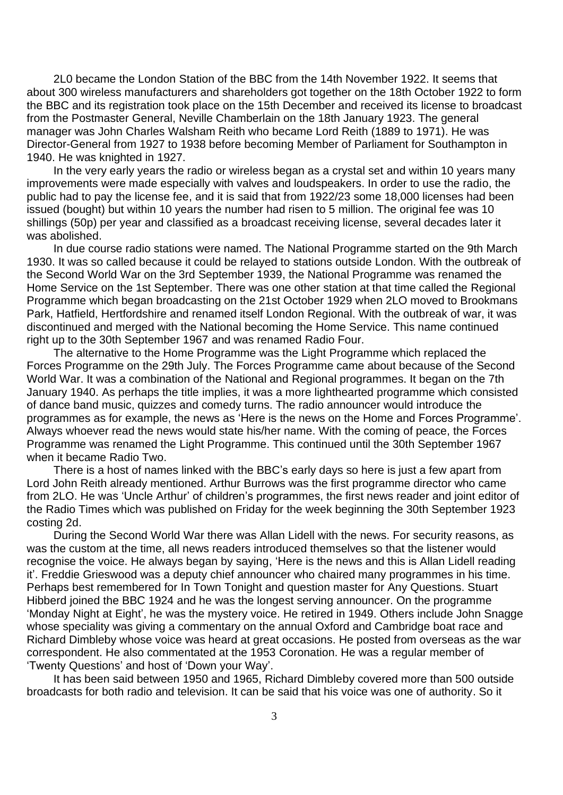2L0 became the London Station of the BBC from the 14th November 1922. It seems that about 300 wireless manufacturers and shareholders got together on the 18th October 1922 to form the BBC and its registration took place on the 15th December and received its license to broadcast from the Postmaster General, Neville Chamberlain on the 18th January 1923. The general manager was John Charles Walsham Reith who became Lord Reith (1889 to 1971). He was Director-General from 1927 to 1938 before becoming Member of Parliament for Southampton in 1940. He was knighted in 1927.

In the very early years the radio or wireless began as a crystal set and within 10 years many improvements were made especially with valves and loudspeakers. In order to use the radio, the public had to pay the license fee, and it is said that from 1922/23 some 18,000 licenses had been issued (bought) but within 10 years the number had risen to 5 million. The original fee was 10 shillings (50p) per year and classified as a broadcast receiving license, several decades later it was abolished.

In due course radio stations were named. The National Programme started on the 9th March 1930. It was so called because it could be relayed to stations outside London. With the outbreak of the Second World War on the 3rd September 1939, the National Programme was renamed the Home Service on the 1st September. There was one other station at that time called the Regional Programme which began broadcasting on the 21st October 1929 when 2LO moved to Brookmans Park, Hatfield, Hertfordshire and renamed itself London Regional. With the outbreak of war, it was discontinued and merged with the National becoming the Home Service. This name continued right up to the 30th September 1967 and was renamed Radio Four.

The alternative to the Home Programme was the Light Programme which replaced the Forces Programme on the 29th July. The Forces Programme came about because of the Second World War. It was a combination of the National and Regional programmes. It began on the 7th January 1940. As perhaps the title implies, it was a more lighthearted programme which consisted of dance band music, quizzes and comedy turns. The radio announcer would introduce the programmes as for example, the news as 'Here is the news on the Home and Forces Programme'. Always whoever read the news would state his/her name. With the coming of peace, the Forces Programme was renamed the Light Programme. This continued until the 30th September 1967 when it became Radio Two.

There is a host of names linked with the BBC's early days so here is just a few apart from Lord John Reith already mentioned. Arthur Burrows was the first programme director who came from 2LO. He was 'Uncle Arthur' of children's programmes, the first news reader and joint editor of the Radio Times which was published on Friday for the week beginning the 30th September 1923 costing 2d.

During the Second World War there was Allan Lidell with the news. For security reasons, as was the custom at the time, all news readers introduced themselves so that the listener would recognise the voice. He always began by saying, 'Here is the news and this is Allan Lidell reading it'. Freddie Grieswood was a deputy chief announcer who chaired many programmes in his time. Perhaps best remembered for In Town Tonight and question master for Any Questions. Stuart Hibberd joined the BBC 1924 and he was the longest serving announcer. On the programme 'Monday Night at Eight', he was the mystery voice. He retired in 1949. Others include John Snagge whose speciality was giving a commentary on the annual Oxford and Cambridge boat race and Richard Dimbleby whose voice was heard at great occasions. He posted from overseas as the war correspondent. He also commentated at the 1953 Coronation. He was a regular member of 'Twenty Questions' and host of 'Down your Way'.

It has been said between 1950 and 1965, Richard Dimbleby covered more than 500 outside broadcasts for both radio and television. It can be said that his voice was one of authority. So it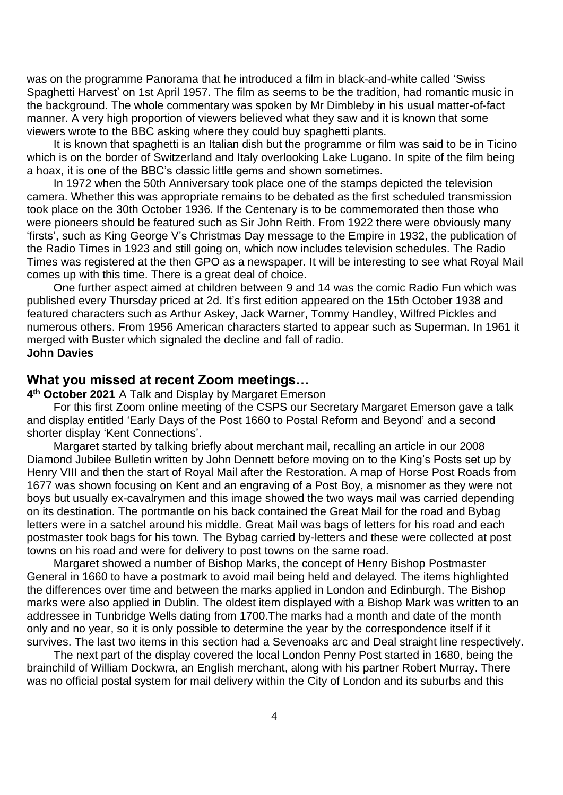was on the programme Panorama that he introduced a film in black-and-white called 'Swiss Spaghetti Harvest' on 1st April 1957. The film as seems to be the tradition, had romantic music in the background. The whole commentary was spoken by Mr Dimbleby in his usual matter-of-fact manner. A very high proportion of viewers believed what they saw and it is known that some viewers wrote to the BBC asking where they could buy spaghetti plants.

It is known that spaghetti is an Italian dish but the programme or film was said to be in Ticino which is on the border of Switzerland and Italy overlooking Lake Lugano. In spite of the film being a hoax, it is one of the BBC's classic little gems and shown sometimes.

In 1972 when the 50th Anniversary took place one of the stamps depicted the television camera. Whether this was appropriate remains to be debated as the first scheduled transmission took place on the 30th October 1936. If the Centenary is to be commemorated then those who were pioneers should be featured such as Sir John Reith. From 1922 there were obviously many 'firsts', such as King George V's Christmas Day message to the Empire in 1932, the publication of the Radio Times in 1923 and still going on, which now includes television schedules. The Radio Times was registered at the then GPO as a newspaper. It will be interesting to see what Royal Mail comes up with this time. There is a great deal of choice.

One further aspect aimed at children between 9 and 14 was the comic Radio Fun which was published every Thursday priced at 2d. It's first edition appeared on the 15th October 1938 and featured characters such as Arthur Askey, Jack Warner, Tommy Handley, Wilfred Pickles and numerous others. From 1956 American characters started to appear such as Superman. In 1961 it merged with Buster which signaled the decline and fall of radio. **John Davies** 

### **What you missed at recent Zoom meetings…**

**4 th October 2021** A Talk and Display by Margaret Emerson

For this first Zoom online meeting of the CSPS our Secretary Margaret Emerson gave a talk and display entitled 'Early Days of the Post 1660 to Postal Reform and Beyond' and a second shorter display 'Kent Connections'.

Margaret started by talking briefly about merchant mail, recalling an article in our 2008 Diamond Jubilee Bulletin written by John Dennett before moving on to the King's Posts set up by Henry VIII and then the start of Royal Mail after the Restoration. A map of Horse Post Roads from 1677 was shown focusing on Kent and an engraving of a Post Boy, a misnomer as they were not boys but usually ex-cavalrymen and this image showed the two ways mail was carried depending on its destination. The portmantle on his back contained the Great Mail for the road and Bybag letters were in a satchel around his middle. Great Mail was bags of letters for his road and each postmaster took bags for his town. The Bybag carried by-letters and these were collected at post towns on his road and were for delivery to post towns on the same road.

Margaret showed a number of Bishop Marks, the concept of Henry Bishop Postmaster General in 1660 to have a postmark to avoid mail being held and delayed. The items highlighted the differences over time and between the marks applied in London and Edinburgh. The Bishop marks were also applied in Dublin. The oldest item displayed with a Bishop Mark was written to an addressee in Tunbridge Wells dating from 1700.The marks had a month and date of the month only and no year, so it is only possible to determine the year by the correspondence itself if it survives. The last two items in this section had a Sevenoaks arc and Deal straight line respectively.

The next part of the display covered the local London Penny Post started in 1680, being the brainchild of William Dockwra, an English merchant, along with his partner [Robert Murray.](https://en.wikipedia.org/wiki/Robert_Murray_(financier)) There was no official postal system for mail delivery within the City of London and its suburbs and this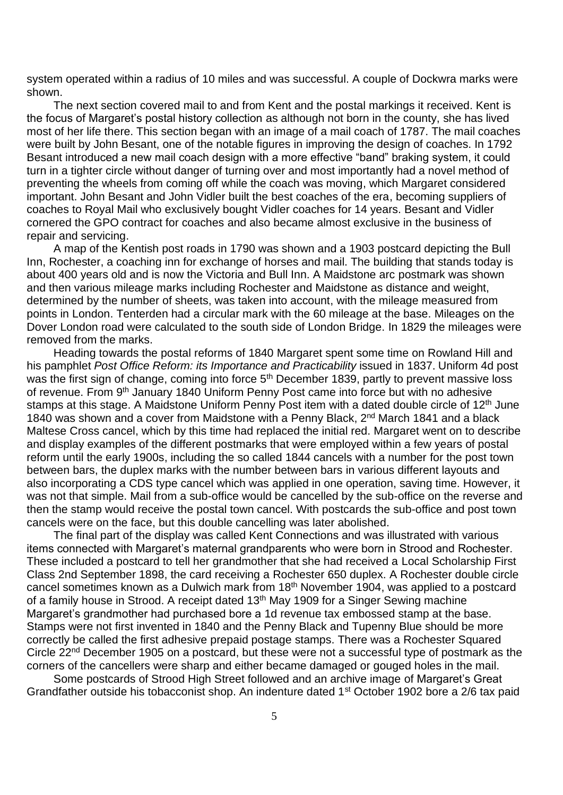system operated within a radius of 10 miles and was successful. A couple of Dockwra marks were shown.

The next section covered mail to and from Kent and the postal markings it received. Kent is the focus of Margaret's postal history collection as although not born in the county, she has lived most of her life there. This section began with an image of a mail coach of 1787. The mail coaches were built by John Besant, one of the notable figures in improving the design of coaches. In 1792 Besant introduced a new mail coach design with a more effective "band" braking system, it could turn in a tighter circle without danger of turning over and most importantly had a novel method of preventing the wheels from coming off while the coach was moving, which Margaret considered important. John Besant and John Vidler built the best coaches of the era, becoming suppliers of coaches to Royal Mail who exclusively bought Vidler coaches for 14 years. Besant and Vidler cornered the GPO contract for coaches and also became almost exclusive in the business of repair and servicing.

A map of the Kentish post roads in 1790 was shown and a 1903 postcard depicting the Bull Inn, Rochester, a coaching inn for exchange of horses and mail. The building that stands today is about 400 years old and is now the Victoria and Bull Inn. A Maidstone arc postmark was shown and then various mileage marks including Rochester and Maidstone as distance and weight, determined by the number of sheets, was taken into account, with the mileage measured from points in London. Tenterden had a circular mark with the 60 mileage at the base. Mileages on the Dover London road were calculated to the south side of London Bridge. In 1829 the mileages were removed from the marks.

Heading towards the postal reforms of 1840 Margaret spent some time on Rowland Hill and his pamphlet *Post Office Reform: its Importance and Practicability* issued in 1837. Uniform 4d post was the first sign of change, coming into force 5<sup>th</sup> December 1839, partly to prevent massive loss of revenue. From 9<sup>th</sup> January 1840 Uniform Penny Post came into force but with no adhesive stamps at this stage. A Maidstone Uniform Penny Post item with a dated double circle of 12<sup>th</sup> June 1840 was shown and a cover from Maidstone with a Penny Black, 2<sup>nd</sup> March 1841 and a black Maltese Cross cancel, which by this time had replaced the initial red. Margaret went on to describe and display examples of the different postmarks that were employed within a few years of postal reform until the early 1900s, including the so called 1844 cancels with a number for the post town between bars, the duplex marks with the number between bars in various different layouts and also incorporating a CDS type cancel which was applied in one operation, saving time. However, it was not that simple. Mail from a sub-office would be cancelled by the sub-office on the reverse and then the stamp would receive the postal town cancel. With postcards the sub-office and post town cancels were on the face, but this double cancelling was later abolished.

The final part of the display was called Kent Connections and was illustrated with various items connected with Margaret's maternal grandparents who were born in Strood and Rochester. These included a postcard to tell her grandmother that she had received a Local Scholarship First Class 2nd September 1898, the card receiving a Rochester 650 duplex. A Rochester double circle cancel sometimes known as a Dulwich mark from 18<sup>th</sup> November 1904, was applied to a postcard of a family house in Strood. A receipt dated 13<sup>th</sup> May 1909 for a Singer Sewing machine Margaret's grandmother had purchased bore a 1d revenue tax embossed stamp at the base. Stamps were not first invented in 1840 and the Penny Black and Tupenny Blue should be more correctly be called the first adhesive prepaid postage stamps. There was a Rochester Squared Circle 22<sup>nd</sup> December 1905 on a postcard, but these were not a successful type of postmark as the corners of the cancellers were sharp and either became damaged or gouged holes in the mail.

Some postcards of Strood High Street followed and an archive image of Margaret's Great Grandfather outside his tobacconist shop. An indenture dated 1st October 1902 bore a 2/6 tax paid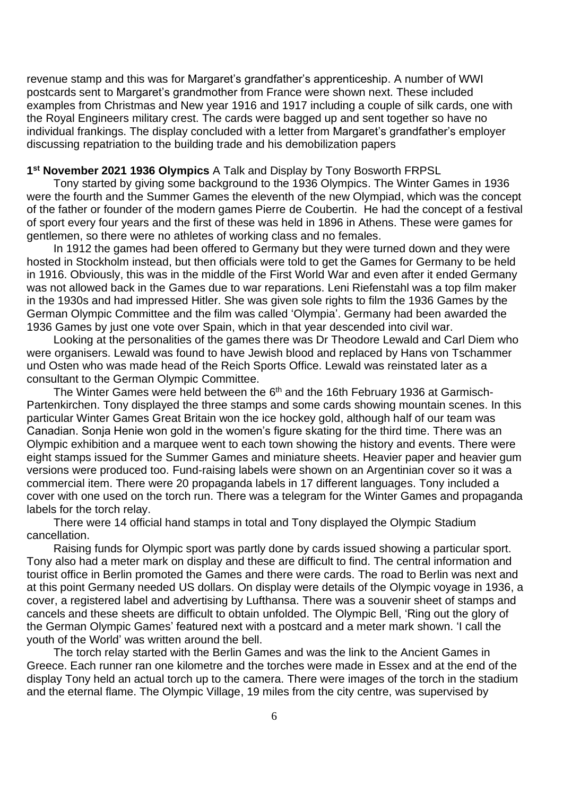revenue stamp and this was for Margaret's grandfather's apprenticeship. A number of WWI postcards sent to Margaret's grandmother from France were shown next. These included examples from Christmas and New year 1916 and 1917 including a couple of silk cards, one with the Royal Engineers military crest. The cards were bagged up and sent together so have no individual frankings. The display concluded with a letter from Margaret's grandfather's employer discussing repatriation to the building trade and his demobilization papers

#### **1 st November 2021 1936 Olympics** A Talk and Display by Tony Bosworth FRPSL

Tony started by giving some background to the 1936 Olympics. The Winter Games in 1936 were the fourth and the Summer Games the eleventh of the new Olympiad, which was the concept of the father or founder of the modern games Pierre de Coubertin. He had the concept of a festival of sport every four years and the first of these was held in 1896 in Athens. These were games for gentlemen, so there were no athletes of working class and no females.

In 1912 the games had been offered to Germany but they were turned down and they were hosted in Stockholm instead, but then officials were told to get the Games for Germany to be held in 1916. Obviously, this was in the middle of the First World War and even after it ended Germany was not allowed back in the Games due to war reparations. Leni Riefenstahl was a top film maker in the 1930s and had impressed Hitler. She was given sole rights to film the 1936 Games by the German Olympic Committee and the film was called 'Olympia'. Germany had been awarded the 1936 Games by just one vote over Spain, which in that year descended into civil war.

Looking at the personalities of the games there was Dr Theodore Lewald and Carl Diem who were organisers. Lewald was found to have Jewish blood and replaced by Hans von Tschammer und Osten who was made head of the Reich Sports Office. Lewald was reinstated later as a consultant to the German Olympic Committee.

The Winter Games were held between the  $6<sup>th</sup>$  and the 16th February 1936 at Garmisch-Partenkirchen. Tony displayed the three stamps and some cards showing mountain scenes. In this particular Winter Games Great Britain won the ice hockey gold, although half of our team was Canadian. Sonja Henie won gold in the women's figure skating for the third time. There was an Olympic exhibition and a marquee went to each town showing the history and events. There were eight stamps issued for the Summer Games and miniature sheets. Heavier paper and heavier gum versions were produced too. Fund-raising labels were shown on an Argentinian cover so it was a commercial item. There were 20 propaganda labels in 17 different languages. Tony included a cover with one used on the torch run. There was a telegram for the Winter Games and propaganda labels for the torch relay.

There were 14 official hand stamps in total and Tony displayed the Olympic Stadium cancellation.

Raising funds for Olympic sport was partly done by cards issued showing a particular sport. Tony also had a meter mark on display and these are difficult to find. The central information and tourist office in Berlin promoted the Games and there were cards. The road to Berlin was next and at this point Germany needed US dollars. On display were details of the Olympic voyage in 1936, a cover, a registered label and advertising by Lufthansa. There was a souvenir sheet of stamps and cancels and these sheets are difficult to obtain unfolded. The Olympic Bell, 'Ring out the glory of the German Olympic Games' featured next with a postcard and a meter mark shown. 'I call the youth of the World' was written around the bell.

The torch relay started with the Berlin Games and was the link to the Ancient Games in Greece. Each runner ran one kilometre and the torches were made in Essex and at the end of the display Tony held an actual torch up to the camera. There were images of the torch in the stadium and the eternal flame. The Olympic Village, 19 miles from the city centre, was supervised by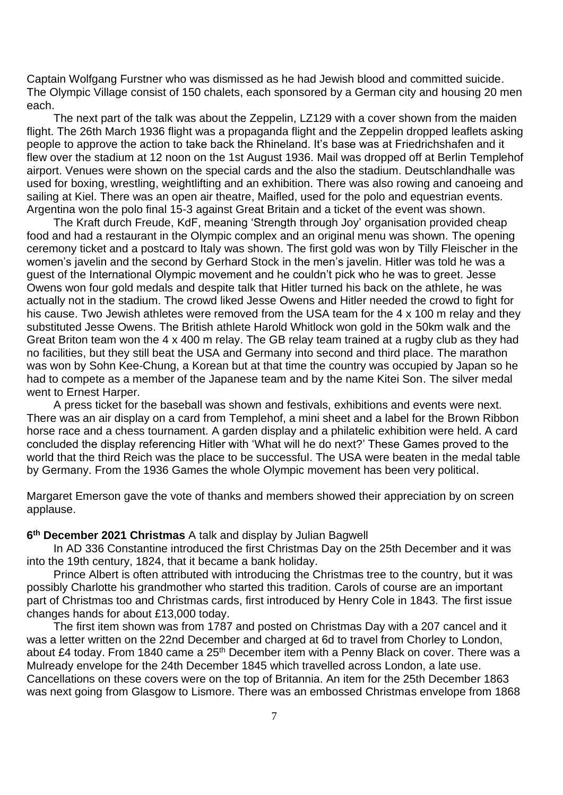Captain Wolfgang Furstner who was dismissed as he had Jewish blood and committed suicide. The Olympic Village consist of 150 chalets, each sponsored by a German city and housing 20 men each.

The next part of the talk was about the Zeppelin, LZ129 with a cover shown from the maiden flight. The 26th March 1936 flight was a propaganda flight and the Zeppelin dropped leaflets asking people to approve the action to take back the Rhineland. It's base was at Friedrichshafen and it flew over the stadium at 12 noon on the 1st August 1936. Mail was dropped off at Berlin Templehof airport. Venues were shown on the special cards and the also the stadium. Deutschlandhalle was used for boxing, wrestling, weightlifting and an exhibition. There was also rowing and canoeing and sailing at Kiel. There was an open air theatre, Maifled, used for the polo and equestrian events. Argentina won the polo final 15-3 against Great Britain and a ticket of the event was shown.

The Kraft durch Freude, KdF, meaning 'Strength through Joy' organisation provided cheap food and had a restaurant in the Olympic complex and an original menu was shown. The opening ceremony ticket and a postcard to Italy was shown. The first gold was won by Tilly Fleischer in the women's javelin and the second by Gerhard Stock in the men's javelin. Hitler was told he was a guest of the International Olympic movement and he couldn't pick who he was to greet. Jesse Owens won four gold medals and despite talk that Hitler turned his back on the athlete, he was actually not in the stadium. The crowd liked Jesse Owens and Hitler needed the crowd to fight for his cause. Two Jewish athletes were removed from the USA team for the 4 x 100 m relay and they substituted Jesse Owens. The British athlete Harold Whitlock won gold in the 50km walk and the Great Briton team won the 4 x 400 m relay. The GB relay team trained at a rugby club as they had no facilities, but they still beat the USA and Germany into second and third place. The marathon was won by Sohn Kee-Chung, a Korean but at that time the country was occupied by Japan so he had to compete as a member of the Japanese team and by the name Kitei Son. The silver medal went to Ernest Harper.

A press ticket for the baseball was shown and festivals, exhibitions and events were next. There was an air display on a card from Templehof, a mini sheet and a label for the Brown Ribbon horse race and a chess tournament. A garden display and a philatelic exhibition were held. A card concluded the display referencing Hitler with 'What will he do next?' These Games proved to the world that the third Reich was the place to be successful. The USA were beaten in the medal table by Germany. From the 1936 Games the whole Olympic movement has been very political.

Margaret Emerson gave the vote of thanks and members showed their appreciation by on screen applause.

### **6 th December 2021 Christmas** A talk and display by Julian Bagwell

In AD 336 Constantine introduced the first Christmas Day on the 25th December and it was into the 19th century, 1824, that it became a bank holiday.

Prince Albert is often attributed with introducing the Christmas tree to the country, but it was possibly Charlotte his grandmother who started this tradition. Carols of course are an important part of Christmas too and Christmas cards, first introduced by Henry Cole in 1843. The first issue changes hands for about £13,000 today.

The first item shown was from 1787 and posted on Christmas Day with a 207 cancel and it was a letter written on the 22nd December and charged at 6d to travel from Chorley to London, about £4 today. From 1840 came a 25<sup>th</sup> December item with a Penny Black on cover. There was a Mulready envelope for the 24th December 1845 which travelled across London, a late use. Cancellations on these covers were on the top of Britannia. An item for the 25th December 1863 was next going from Glasgow to Lismore. There was an embossed Christmas envelope from 1868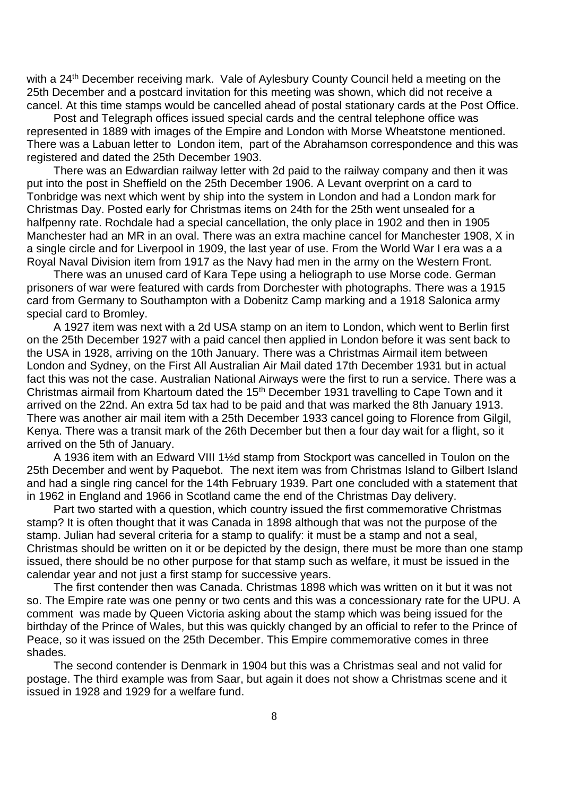with a 24<sup>th</sup> December receiving mark. Vale of Aylesbury County Council held a meeting on the 25th December and a postcard invitation for this meeting was shown, which did not receive a cancel. At this time stamps would be cancelled ahead of postal stationary cards at the Post Office.

Post and Telegraph offices issued special cards and the central telephone office was represented in 1889 with images of the Empire and London with Morse Wheatstone mentioned. There was a Labuan letter to London item, part of the Abrahamson correspondence and this was registered and dated the 25th December 1903.

There was an Edwardian railway letter with 2d paid to the railway company and then it was put into the post in Sheffield on the 25th December 1906. A Levant overprint on a card to Tonbridge was next which went by ship into the system in London and had a London mark for Christmas Day. Posted early for Christmas items on 24th for the 25th went unsealed for a halfpenny rate. Rochdale had a special cancellation, the only place in 1902 and then in 1905 Manchester had an MR in an oval. There was an extra machine cancel for Manchester 1908, X in a single circle and for Liverpool in 1909, the last year of use. From the World War I era was a a Royal Naval Division item from 1917 as the Navy had men in the army on the Western Front.

There was an unused card of Kara Tepe using a heliograph to use Morse code. German prisoners of war were featured with cards from Dorchester with photographs. There was a 1915 card from Germany to Southampton with a Dobenitz Camp marking and a 1918 Salonica army special card to Bromley.

A 1927 item was next with a 2d USA stamp on an item to London, which went to Berlin first on the 25th December 1927 with a paid cancel then applied in London before it was sent back to the USA in 1928, arriving on the 10th January. There was a Christmas Airmail item between London and Sydney, on the First All Australian Air Mail dated 17th December 1931 but in actual fact this was not the case. Australian National Airways were the first to run a service. There was a Christmas airmail from Khartoum dated the 15th December 1931 travelling to Cape Town and it arrived on the 22nd. An extra 5d tax had to be paid and that was marked the 8th January 1913. There was another air mail item with a 25th December 1933 cancel going to Florence from Gilgil, Kenya. There was a transit mark of the 26th December but then a four day wait for a flight, so it arrived on the 5th of January.

A 1936 item with an Edward VIII 1½d stamp from Stockport was cancelled in Toulon on the 25th December and went by Paquebot. The next item was from Christmas Island to Gilbert Island and had a single ring cancel for the 14th February 1939. Part one concluded with a statement that in 1962 in England and 1966 in Scotland came the end of the Christmas Day delivery.

Part two started with a question, which country issued the first commemorative Christmas stamp? It is often thought that it was Canada in 1898 although that was not the purpose of the stamp. Julian had several criteria for a stamp to qualify: it must be a stamp and not a seal, Christmas should be written on it or be depicted by the design, there must be more than one stamp issued, there should be no other purpose for that stamp such as welfare, it must be issued in the calendar year and not just a first stamp for successive years.

The first contender then was Canada. Christmas 1898 which was written on it but it was not so. The Empire rate was one penny or two cents and this was a concessionary rate for the UPU. A comment was made by Queen Victoria asking about the stamp which was being issued for the birthday of the Prince of Wales, but this was quickly changed by an official to refer to the Prince of Peace, so it was issued on the 25th December. This Empire commemorative comes in three shades.

The second contender is Denmark in 1904 but this was a Christmas seal and not valid for postage. The third example was from Saar, but again it does not show a Christmas scene and it issued in 1928 and 1929 for a welfare fund.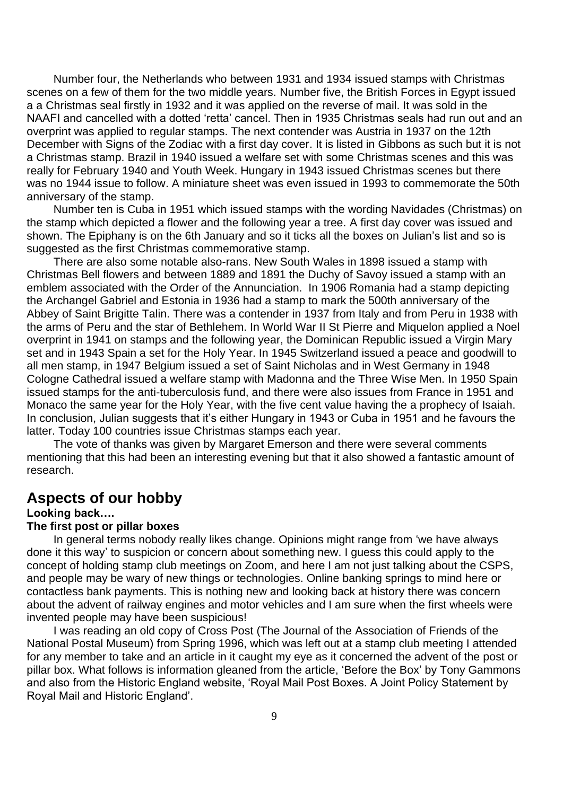Number four, the Netherlands who between 1931 and 1934 issued stamps with Christmas scenes on a few of them for the two middle years. Number five, the British Forces in Egypt issued a a Christmas seal firstly in 1932 and it was applied on the reverse of mail. It was sold in the NAAFI and cancelled with a dotted 'retta' cancel. Then in 1935 Christmas seals had run out and an overprint was applied to regular stamps. The next contender was Austria in 1937 on the 12th December with Signs of the Zodiac with a first day cover. It is listed in Gibbons as such but it is not a Christmas stamp. Brazil in 1940 issued a welfare set with some Christmas scenes and this was really for February 1940 and Youth Week. Hungary in 1943 issued Christmas scenes but there was no 1944 issue to follow. A miniature sheet was even issued in 1993 to commemorate the 50th anniversary of the stamp.

Number ten is Cuba in 1951 which issued stamps with the wording Navidades (Christmas) on the stamp which depicted a flower and the following year a tree. A first day cover was issued and shown. The Epiphany is on the 6th January and so it ticks all the boxes on Julian's list and so is suggested as the first Christmas commemorative stamp.

There are also some notable also-rans. New South Wales in 1898 issued a stamp with Christmas Bell flowers and between 1889 and 1891 the Duchy of Savoy issued a stamp with an emblem associated with the Order of the Annunciation. In 1906 Romania had a stamp depicting the Archangel Gabriel and Estonia in 1936 had a stamp to mark the 500th anniversary of the Abbey of Saint Brigitte Talin. There was a contender in 1937 from Italy and from Peru in 1938 with the arms of Peru and the star of Bethlehem. In World War II St Pierre and Miquelon applied a Noel overprint in 1941 on stamps and the following year, the Dominican Republic issued a Virgin Mary set and in 1943 Spain a set for the Holy Year. In 1945 Switzerland issued a peace and goodwill to all men stamp, in 1947 Belgium issued a set of Saint Nicholas and in West Germany in 1948 Cologne Cathedral issued a welfare stamp with Madonna and the Three Wise Men. In 1950 Spain issued stamps for the anti-tuberculosis fund, and there were also issues from France in 1951 and Monaco the same year for the Holy Year, with the five cent value having the a prophecy of Isaiah. In conclusion, Julian suggests that it's either Hungary in 1943 or Cuba in 1951 and he favours the latter. Today 100 countries issue Christmas stamps each year.

The vote of thanks was given by Margaret Emerson and there were several comments mentioning that this had been an interesting evening but that it also showed a fantastic amount of research.

### **Aspects of our hobby**

### **Looking back….**

### **The first post or pillar boxes**

In general terms nobody really likes change. Opinions might range from 'we have always done it this way' to suspicion or concern about something new. I guess this could apply to the concept of holding stamp club meetings on Zoom, and here I am not just talking about the CSPS, and people may be wary of new things or technologies. Online banking springs to mind here or contactless bank payments. This is nothing new and looking back at history there was concern about the advent of railway engines and motor vehicles and I am sure when the first wheels were invented people may have been suspicious!

I was reading an old copy of Cross Post (The Journal of the Association of Friends of the National Postal Museum) from Spring 1996, which was left out at a stamp club meeting I attended for any member to take and an article in it caught my eye as it concerned the advent of the post or pillar box. What follows is information gleaned from the article, 'Before the Box' by Tony Gammons and also from the Historic England website, 'Royal Mail Post Boxes. A Joint Policy Statement by Royal Mail and Historic England'.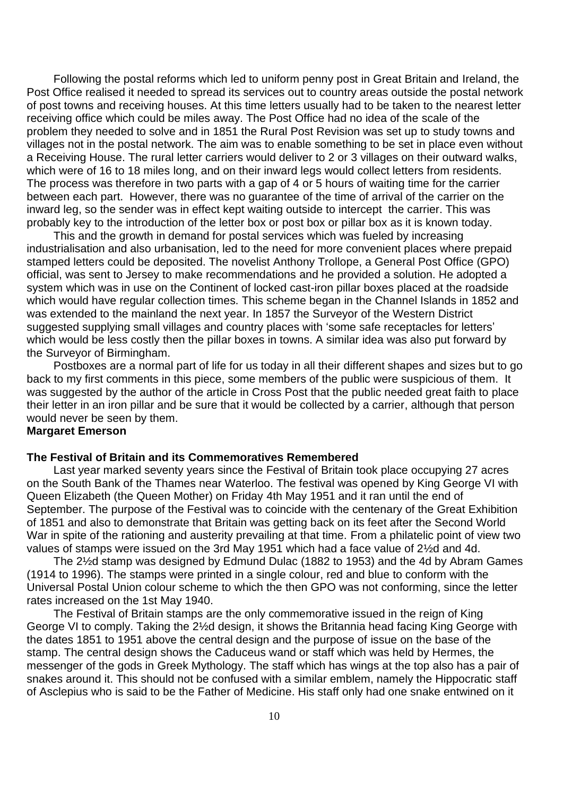Following the postal reforms which led to uniform penny post in Great Britain and Ireland, the Post Office realised it needed to spread its services out to country areas outside the postal network of post towns and receiving houses. At this time letters usually had to be taken to the nearest letter receiving office which could be miles away. The Post Office had no idea of the scale of the problem they needed to solve and in 1851 the Rural Post Revision was set up to study towns and villages not in the postal network. The aim was to enable something to be set in place even without a Receiving House. The rural letter carriers would deliver to 2 or 3 villages on their outward walks, which were of 16 to 18 miles long, and on their inward legs would collect letters from residents. The process was therefore in two parts with a gap of 4 or 5 hours of waiting time for the carrier between each part. However, there was no guarantee of the time of arrival of the carrier on the inward leg, so the sender was in effect kept waiting outside to intercept the carrier. This was probably key to the introduction of the letter box or post box or pillar box as it is known today.

This and the growth in demand for postal services which was fueled by increasing industrialisation and also urbanisation, led to the need for more convenient places where prepaid stamped letters could be deposited. The novelist Anthony Trollope, a General Post Office (GPO) official, was sent to Jersey to make recommendations and he provided a solution. He adopted a system which was in use on the Continent of locked cast-iron pillar boxes placed at the roadside which would have regular collection times. This scheme began in the Channel Islands in 1852 and was extended to the mainland the next year. In 1857 the Surveyor of the Western District suggested supplying small villages and country places with 'some safe receptacles for letters' which would be less costly then the pillar boxes in towns. A similar idea was also put forward by the Surveyor of Birmingham.

Postboxes are a normal part of life for us today in all their different shapes and sizes but to go back to my first comments in this piece, some members of the public were suspicious of them. It was suggested by the author of the article in Cross Post that the public needed great faith to place their letter in an iron pillar and be sure that it would be collected by a carrier, although that person would never be seen by them.

### **Margaret Emerson**

#### **The Festival of Britain and its Commemoratives Remembered**

Last year marked seventy years since the Festival of Britain took place occupying 27 acres on the South Bank of the Thames near Waterloo. The festival was opened by King George VI with Queen Elizabeth (the Queen Mother) on Friday 4th May 1951 and it ran until the end of September. The purpose of the Festival was to coincide with the centenary of the Great Exhibition of 1851 and also to demonstrate that Britain was getting back on its feet after the Second World War in spite of the rationing and austerity prevailing at that time. From a philatelic point of view two values of stamps were issued on the 3rd May 1951 which had a face value of 2½d and 4d.

The 2½d stamp was designed by Edmund Dulac (1882 to 1953) and the 4d by Abram Games (1914 to 1996). The stamps were printed in a single colour, red and blue to conform with the Universal Postal Union colour scheme to which the then GPO was not conforming, since the letter rates increased on the 1st May 1940.

The Festival of Britain stamps are the only commemorative issued in the reign of King George VI to comply. Taking the 2½d design, it shows the Britannia head facing King George with the dates 1851 to 1951 above the central design and the purpose of issue on the base of the stamp. The central design shows the Caduceus wand or staff which was held by Hermes, the messenger of the gods in Greek Mythology. The staff which has wings at the top also has a pair of snakes around it. This should not be confused with a similar emblem, namely the Hippocratic staff of Asclepius who is said to be the Father of Medicine. His staff only had one snake entwined on it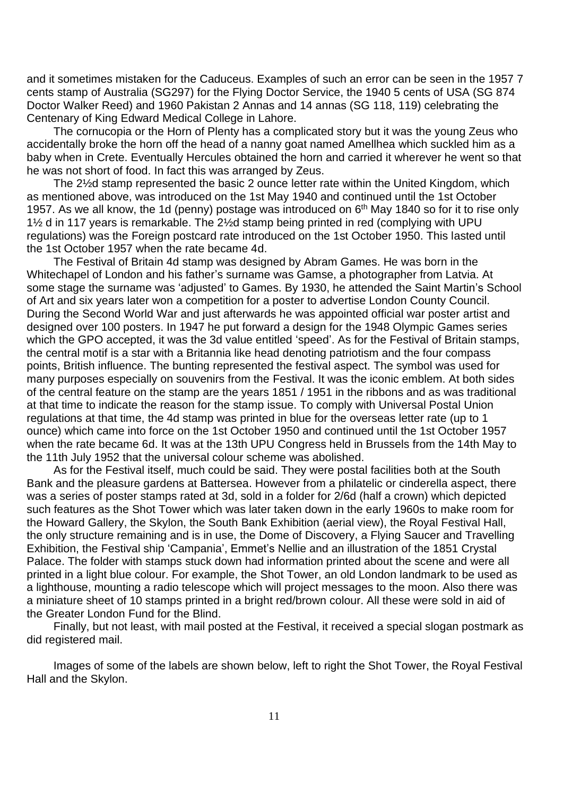and it sometimes mistaken for the Caduceus. Examples of such an error can be seen in the 1957 7 cents stamp of Australia (SG297) for the Flying Doctor Service, the 1940 5 cents of USA (SG 874 Doctor Walker Reed) and 1960 Pakistan 2 Annas and 14 annas (SG 118, 119) celebrating the Centenary of King Edward Medical College in Lahore.

The cornucopia or the Horn of Plenty has a complicated story but it was the young Zeus who accidentally broke the horn off the head of a nanny goat named Amellhea which suckled him as a baby when in Crete. Eventually Hercules obtained the horn and carried it wherever he went so that he was not short of food. In fact this was arranged by Zeus.

The 2½d stamp represented the basic 2 ounce letter rate within the United Kingdom, which as mentioned above, was introduced on the 1st May 1940 and continued until the 1st October 1957. As we all know, the 1d (penny) postage was introduced on 6<sup>th</sup> May 1840 so for it to rise only 1½ d in 117 years is remarkable. The 2½d stamp being printed in red (complying with UPU regulations) was the Foreign postcard rate introduced on the 1st October 1950. This lasted until the 1st October 1957 when the rate became 4d.

The Festival of Britain 4d stamp was designed by Abram Games. He was born in the Whitechapel of London and his father's surname was Gamse, a photographer from Latvia. At some stage the surname was 'adjusted' to Games. By 1930, he attended the Saint Martin's School of Art and six years later won a competition for a poster to advertise London County Council. During the Second World War and just afterwards he was appointed official war poster artist and designed over 100 posters. In 1947 he put forward a design for the 1948 Olympic Games series which the GPO accepted, it was the 3d value entitled 'speed'. As for the Festival of Britain stamps, the central motif is a star with a Britannia like head denoting patriotism and the four compass points, British influence. The bunting represented the festival aspect. The symbol was used for many purposes especially on souvenirs from the Festival. It was the iconic emblem. At both sides of the central feature on the stamp are the years 1851 / 1951 in the ribbons and as was traditional at that time to indicate the reason for the stamp issue. To comply with Universal Postal Union regulations at that time, the 4d stamp was printed in blue for the overseas letter rate (up to 1 ounce) which came into force on the 1st October 1950 and continued until the 1st October 1957 when the rate became 6d. It was at the 13th UPU Congress held in Brussels from the 14th May to the 11th July 1952 that the universal colour scheme was abolished.

As for the Festival itself, much could be said. They were postal facilities both at the South Bank and the pleasure gardens at Battersea. However from a philatelic or cinderella aspect, there was a series of poster stamps rated at 3d, sold in a folder for 2/6d (half a crown) which depicted such features as the Shot Tower which was later taken down in the early 1960s to make room for the Howard Gallery, the Skylon, the South Bank Exhibition (aerial view), the Royal Festival Hall, the only structure remaining and is in use, the Dome of Discovery, a Flying Saucer and Travelling Exhibition, the Festival ship 'Campania', Emmet's Nellie and an illustration of the 1851 Crystal Palace. The folder with stamps stuck down had information printed about the scene and were all printed in a light blue colour. For example, the Shot Tower, an old London landmark to be used as a lighthouse, mounting a radio telescope which will project messages to the moon. Also there was a miniature sheet of 10 stamps printed in a bright red/brown colour. All these were sold in aid of the Greater London Fund for the Blind.

Finally, but not least, with mail posted at the Festival, it received a special slogan postmark as did registered mail.

Images of some of the labels are shown below, left to right the Shot Tower, the Royal Festival Hall and the Skylon.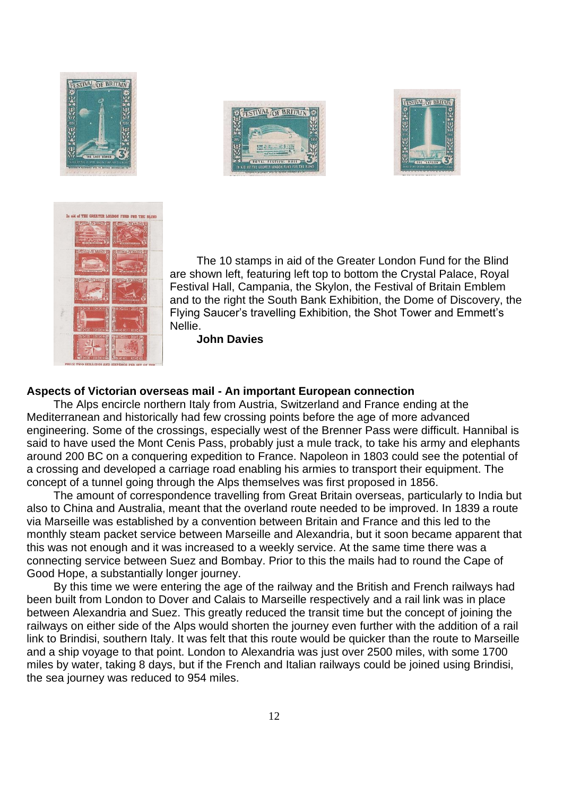







The 10 stamps in aid of the Greater London Fund for the Blind are shown left, featuring left top to bottom the Crystal Palace, Royal Festival Hall, Campania, the Skylon, the Festival of Britain Emblem and to the right the South Bank Exhibition, the Dome of Discovery, the Flying Saucer's travelling Exhibition, the Shot Tower and Emmett's Nellie.

**John Davies**

### **Aspects of Victorian overseas mail - An important European connection**

The Alps encircle northern Italy from Austria, Switzerland and France ending at the Mediterranean and historically had few crossing points before the age of more advanced engineering. Some of the crossings, especially west of the Brenner Pass were difficult. Hannibal is said to have used the Mont Cenis Pass, probably just a mule track, to take his army and elephants around 200 BC on a conquering expedition to France. Napoleon in 1803 could see the potential of a crossing and developed a carriage road enabling his armies to transport their equipment. The concept of a tunnel going through the Alps themselves was first proposed in 1856.

The amount of correspondence travelling from Great Britain overseas, particularly to India but also to China and Australia, meant that the overland route needed to be improved. In 1839 a route via Marseille was established by a convention between Britain and France and this led to the monthly steam packet service between Marseille and Alexandria, but it soon became apparent that this was not enough and it was increased to a weekly service. At the same time there was a connecting service between Suez and Bombay. Prior to this the mails had to round the Cape of Good Hope, a substantially longer journey.

By this time we were entering the age of the railway and the British and French railways had been built from London to Dover and Calais to Marseille respectively and a rail link was in place between Alexandria and Suez. This greatly reduced the transit time but the concept of joining the railways on either side of the Alps would shorten the journey even further with the addition of a rail link to Brindisi, southern Italy. It was felt that this route would be quicker than the route to Marseille and a ship voyage to that point. London to Alexandria was just over 2500 miles, with some 1700 miles by water, taking 8 days, but if the French and Italian railways could be joined using Brindisi, the sea journey was reduced to 954 miles.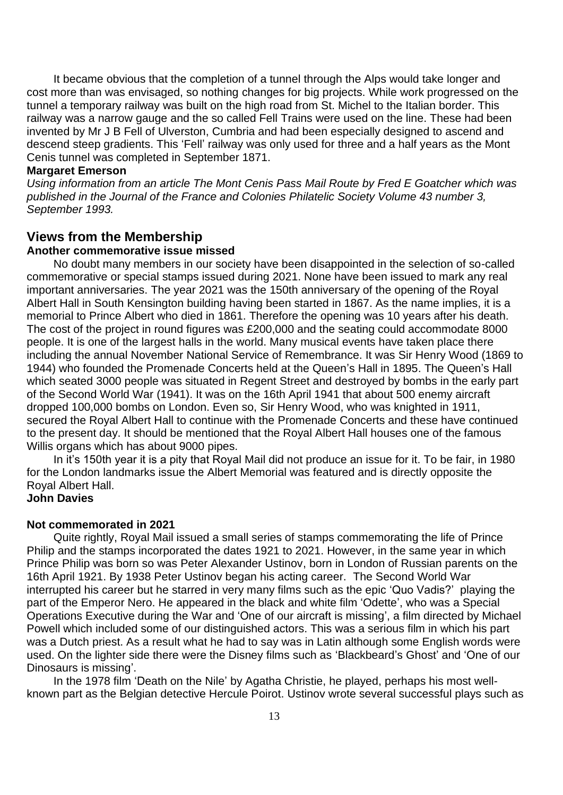It became obvious that the completion of a tunnel through the Alps would take longer and cost more than was envisaged, so nothing changes for big projects. While work progressed on the tunnel a temporary railway was built on the high road from St. Michel to the Italian border. This railway was a narrow gauge and the so called Fell Trains were used on the line. These had been invented by Mr J B Fell of Ulverston, Cumbria and had been especially designed to ascend and descend steep gradients. This 'Fell' railway was only used for three and a half years as the Mont Cenis tunnel was completed in September 1871.

### **Margaret Emerson**

*Using information from an article The Mont Cenis Pass Mail Route by Fred E Goatcher which was published in the Journal of the France and Colonies Philatelic Society Volume 43 number 3, September 1993.* 

### **Views from the Membership**

### **Another commemorative issue missed**

No doubt many members in our society have been disappointed in the selection of so-called commemorative or special stamps issued during 2021. None have been issued to mark any real important anniversaries. The year 2021 was the 150th anniversary of the opening of the Royal Albert Hall in South Kensington building having been started in 1867. As the name implies, it is a memorial to Prince Albert who died in 1861. Therefore the opening was 10 years after his death. The cost of the project in round figures was £200,000 and the seating could accommodate 8000 people. It is one of the largest halls in the world. Many musical events have taken place there including the annual November National Service of Remembrance. It was Sir Henry Wood (1869 to 1944) who founded the Promenade Concerts held at the Queen's Hall in 1895. The Queen's Hall which seated 3000 people was situated in Regent Street and destroyed by bombs in the early part of the Second World War (1941). It was on the 16th April 1941 that about 500 enemy aircraft dropped 100,000 bombs on London. Even so, Sir Henry Wood, who was knighted in 1911, secured the Royal Albert Hall to continue with the Promenade Concerts and these have continued to the present day. It should be mentioned that the Royal Albert Hall houses one of the famous Willis organs which has about 9000 pipes.

In it's 150th year it is a pity that Royal Mail did not produce an issue for it. To be fair, in 1980 for the London landmarks issue the Albert Memorial was featured and is directly opposite the Royal Albert Hall.

### **John Davies**

### **Not commemorated in 2021**

Quite rightly, Royal Mail issued a small series of stamps commemorating the life of Prince Philip and the stamps incorporated the dates 1921 to 2021. However, in the same year in which Prince Philip was born so was Peter Alexander Ustinov, born in London of Russian parents on the 16th April 1921. By 1938 Peter Ustinov began his acting career. The Second World War interrupted his career but he starred in very many films such as the epic 'Quo Vadis?' playing the part of the Emperor Nero. He appeared in the black and white film 'Odette', who was a Special Operations Executive during the War and 'One of our aircraft is missing', a film directed by Michael Powell which included some of our distinguished actors. This was a serious film in which his part was a Dutch priest. As a result what he had to say was in Latin although some English words were used. On the lighter side there were the Disney films such as 'Blackbeard's Ghost' and 'One of our Dinosaurs is missing'.

In the 1978 film 'Death on the Nile' by Agatha Christie, he played, perhaps his most wellknown part as the Belgian detective Hercule Poirot. Ustinov wrote several successful plays such as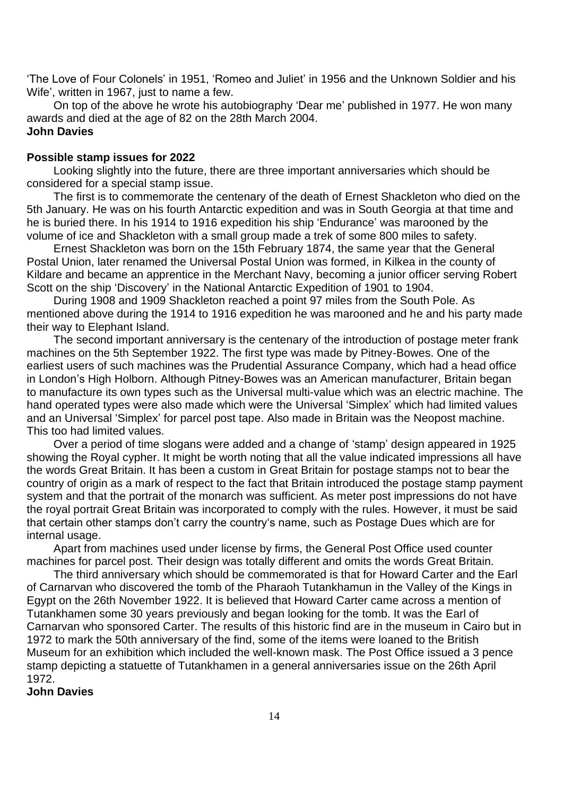'The Love of Four Colonels' in 1951, 'Romeo and Juliet' in 1956 and the Unknown Soldier and his Wife', written in 1967, just to name a few.

On top of the above he wrote his autobiography 'Dear me' published in 1977. He won many awards and died at the age of 82 on the 28th March 2004. **John Davies**

#### **Possible stamp issues for 2022**

Looking slightly into the future, there are three important anniversaries which should be considered for a special stamp issue.

The first is to commemorate the centenary of the death of Ernest Shackleton who died on the 5th January. He was on his fourth Antarctic expedition and was in South Georgia at that time and he is buried there. In his 1914 to 1916 expedition his ship 'Endurance' was marooned by the volume of ice and Shackleton with a small group made a trek of some 800 miles to safety.

Ernest Shackleton was born on the 15th February 1874, the same year that the General Postal Union, later renamed the Universal Postal Union was formed, in Kilkea in the county of Kildare and became an apprentice in the Merchant Navy, becoming a junior officer serving Robert Scott on the ship 'Discovery' in the National Antarctic Expedition of 1901 to 1904.

During 1908 and 1909 Shackleton reached a point 97 miles from the South Pole. As mentioned above during the 1914 to 1916 expedition he was marooned and he and his party made their way to Elephant Island.

The second important anniversary is the centenary of the introduction of postage meter frank machines on the 5th September 1922. The first type was made by Pitney-Bowes. One of the earliest users of such machines was the Prudential Assurance Company, which had a head office in London's High Holborn. Although Pitney-Bowes was an American manufacturer, Britain began to manufacture its own types such as the Universal multi-value which was an electric machine. The hand operated types were also made which were the Universal 'Simplex' which had limited values and an Universal 'Simplex' for parcel post tape. Also made in Britain was the Neopost machine. This too had limited values.

Over a period of time slogans were added and a change of 'stamp' design appeared in 1925 showing the Royal cypher. It might be worth noting that all the value indicated impressions all have the words Great Britain. It has been a custom in Great Britain for postage stamps not to bear the country of origin as a mark of respect to the fact that Britain introduced the postage stamp payment system and that the portrait of the monarch was sufficient. As meter post impressions do not have the royal portrait Great Britain was incorporated to comply with the rules. However, it must be said that certain other stamps don't carry the country's name, such as Postage Dues which are for internal usage.

Apart from machines used under license by firms, the General Post Office used counter machines for parcel post. Their design was totally different and omits the words Great Britain.

The third anniversary which should be commemorated is that for Howard Carter and the Earl of Carnarvan who discovered the tomb of the Pharaoh Tutankhamun in the Valley of the Kings in Egypt on the 26th November 1922. It is believed that Howard Carter came across a mention of Tutankhamen some 30 years previously and began looking for the tomb. It was the Earl of Carnarvan who sponsored Carter. The results of this historic find are in the museum in Cairo but in 1972 to mark the 50th anniversary of the find, some of the items were loaned to the British Museum for an exhibition which included the well-known mask. The Post Office issued a 3 pence stamp depicting a statuette of Tutankhamen in a general anniversaries issue on the 26th April 1972.

### **John Davies**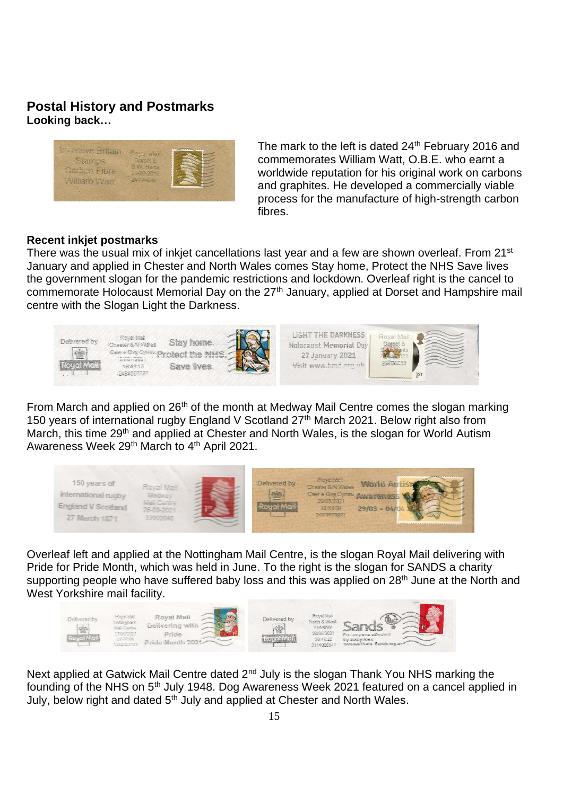### **Postal History and Postmarks Looking back…**

| Stamme              | Royal Man<br>Dorset &    |                                 |
|---------------------|--------------------------|---------------------------------|
| <b>Jarbon Fibre</b> | S.W. Hants<br>24-02-2015 |                                 |
| William Watt        | ANGANS                   |                                 |
|                     |                          | <b><i><u>AAAAAAAAAA</u></i></b> |

The mark to the left is dated 24<sup>th</sup> February 2016 and commemorates William Watt, O.B.E. who earnt a worldwide reputation for his original work on carbons and graphites. He developed a commercially viable process for the manufacture of high-strength carbon fibres.

### **Recent inkjet postmarks**

There was the usual mix of inkjet cancellations last year and a few are shown overleaf. From 21<sup>st</sup> January and applied in Chester and North Wales comes Stay home, Protect the NHS Save lives the government slogan for the pandemic restrictions and lockdown. Overleaf right is the cancel to commemorate Holocaust Memorial Day on the 27<sup>th</sup> January, applied at Dorset and Hampshire mail centre with the Slogan Light the Darkness.



From March and applied on 26<sup>th</sup> of the month at Medway Mail Centre comes the slogan marking 150 years of international rugby England V Scotland 27<sup>th</sup> March 2021. Below right also from March, this time 29<sup>th</sup> and applied at Chester and North Wales, is the slogan for World Autism Awareness Week 29<sup>th</sup> March to 4<sup>th</sup> April 2021.



Overleaf left and applied at the Nottingham Mail Centre, is the slogan Royal Mail delivering with Pride for Pride Month, which was held in June. To the right is the slogan for SANDS a charity supporting people who have suffered baby loss and this was applied on 28<sup>th</sup> June at the North and West Yorkshire mail facility.



Next applied at Gatwick Mail Centre dated 2<sup>nd</sup> July is the slogan Thank You NHS marking the founding of the NHS on 5th July 1948. Dog Awareness Week 2021 featured on a cancel applied in July, below right and dated 5<sup>th</sup> July and applied at Chester and North Wales.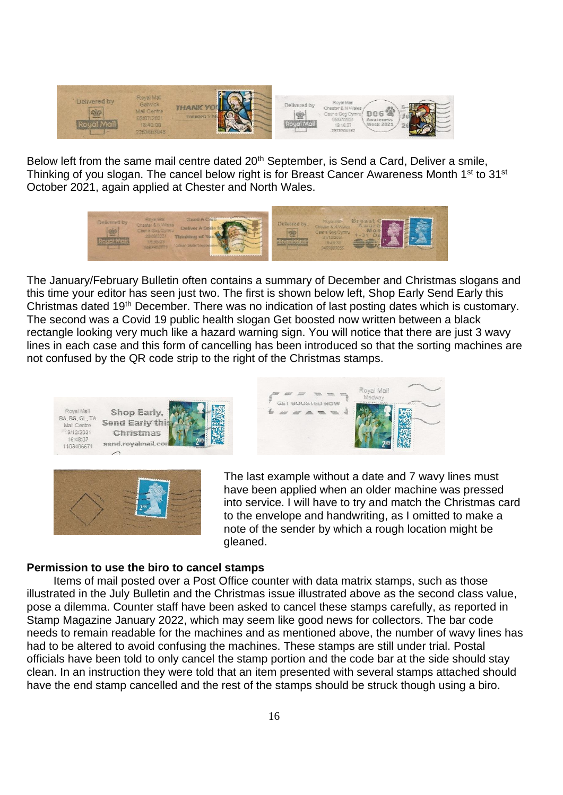

Below left from the same mail centre dated 20<sup>th</sup> September, is Send a Card, Deliver a smile, Thinking of you slogan. The cancel below right is for Breast Cancer Awareness Month 1<sup>st</sup> to 31<sup>st</sup> October 2021, again applied at Chester and North Wales.



The January/February Bulletin often contains a summary of December and Christmas slogans and this time your editor has seen just two. The first is shown below left, Shop Early Send Early this Christmas dated 19th December. There was no indication of last posting dates which is customary. The second was a Covid 19 public health slogan Get boosted now written between a black rectangle looking very much like a hazard warning sign. You will notice that there are just 3 wavy lines in each case and this form of cancelling has been introduced so that the sorting machines are not confused by the QR code strip to the right of the Christmas stamps.





Royal Mail SET BOOSTED NOW  $\sim$ 

The last example without a date and 7 wavy lines must have been applied when an older machine was pressed into service. I will have to try and match the Christmas card to the envelope and handwriting, as I omitted to make a note of the sender by which a rough location might be gleaned.

### **Permission to use the biro to cancel stamps**

Items of mail posted over a Post Office counter with data matrix stamps, such as those illustrated in the July Bulletin and the Christmas issue illustrated above as the second class value, pose a dilemma. Counter staff have been asked to cancel these stamps carefully, as reported in Stamp Magazine January 2022, which may seem like good news for collectors. The bar code needs to remain readable for the machines and as mentioned above, the number of wavy lines has had to be altered to avoid confusing the machines. These stamps are still under trial. Postal officials have been told to only cancel the stamp portion and the code bar at the side should stay clean. In an instruction they were told that an item presented with several stamps attached should have the end stamp cancelled and the rest of the stamps should be struck though using a biro.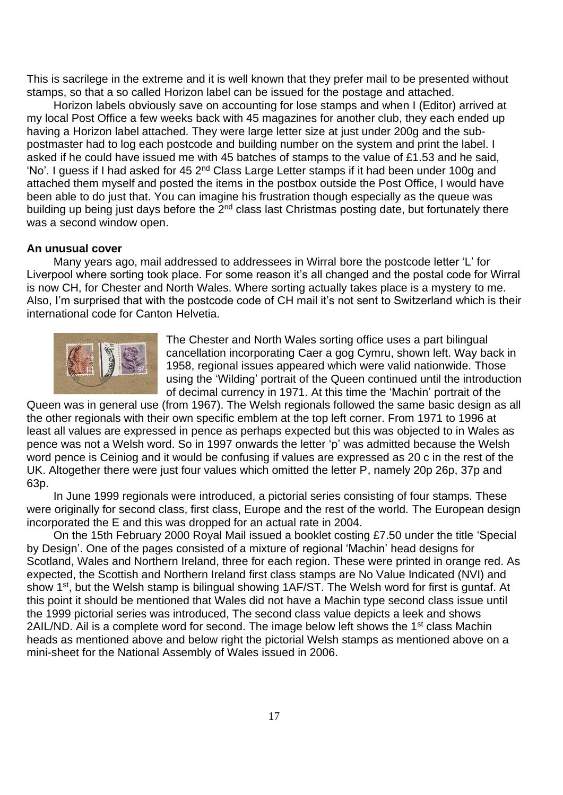This is sacrilege in the extreme and it is well known that they prefer mail to be presented without stamps, so that a so called Horizon label can be issued for the postage and attached.

Horizon labels obviously save on accounting for lose stamps and when I (Editor) arrived at my local Post Office a few weeks back with 45 magazines for another club, they each ended up having a Horizon label attached. They were large letter size at just under 200g and the subpostmaster had to log each postcode and building number on the system and print the label. I asked if he could have issued me with 45 batches of stamps to the value of £1.53 and he said, 'No'. I guess if I had asked for 45 2nd Class Large Letter stamps if it had been under 100g and attached them myself and posted the items in the postbox outside the Post Office, I would have been able to do just that. You can imagine his frustration though especially as the queue was building up being just days before the 2<sup>nd</sup> class last Christmas posting date, but fortunately there was a second window open.

#### **An unusual cover**

Many years ago, mail addressed to addressees in Wirral bore the postcode letter 'L' for Liverpool where sorting took place. For some reason it's all changed and the postal code for Wirral is now CH, for Chester and North Wales. Where sorting actually takes place is a mystery to me. Also, I'm surprised that with the postcode code of CH mail it's not sent to Switzerland which is their international code for Canton Helvetia.



The Chester and North Wales sorting office uses a part bilingual cancellation incorporating Caer a gog Cymru, shown left. Way back in 1958, regional issues appeared which were valid nationwide. Those using the 'Wilding' portrait of the Queen continued until the introduction of decimal currency in 1971. At this time the 'Machin' portrait of the

Queen was in general use (from 1967). The Welsh regionals followed the same basic design as all the other regionals with their own specific emblem at the top left corner. From 1971 to 1996 at least all values are expressed in pence as perhaps expected but this was objected to in Wales as pence was not a Welsh word. So in 1997 onwards the letter 'p' was admitted because the Welsh word pence is Ceiniog and it would be confusing if values are expressed as 20 c in the rest of the UK. Altogether there were just four values which omitted the letter P, namely 20p 26p, 37p and 63p.

In June 1999 regionals were introduced, a pictorial series consisting of four stamps. These were originally for second class, first class, Europe and the rest of the world. The European design incorporated the E and this was dropped for an actual rate in 2004.

On the 15th February 2000 Royal Mail issued a booklet costing £7.50 under the title 'Special by Design'. One of the pages consisted of a mixture of regional 'Machin' head designs for Scotland, Wales and Northern Ireland, three for each region. These were printed in orange red. As expected, the Scottish and Northern Ireland first class stamps are No Value Indicated (NVI) and show 1<sup>st</sup>, but the Welsh stamp is bilingual showing 1AF/ST. The Welsh word for first is guntaf. At this point it should be mentioned that Wales did not have a Machin type second class issue until the 1999 pictorial series was introduced, The second class value depicts a leek and shows 2AIL/ND. Ail is a complete word for second. The image below left shows the 1<sup>st</sup> class Machin heads as mentioned above and below right the pictorial Welsh stamps as mentioned above on a mini-sheet for the National Assembly of Wales issued in 2006.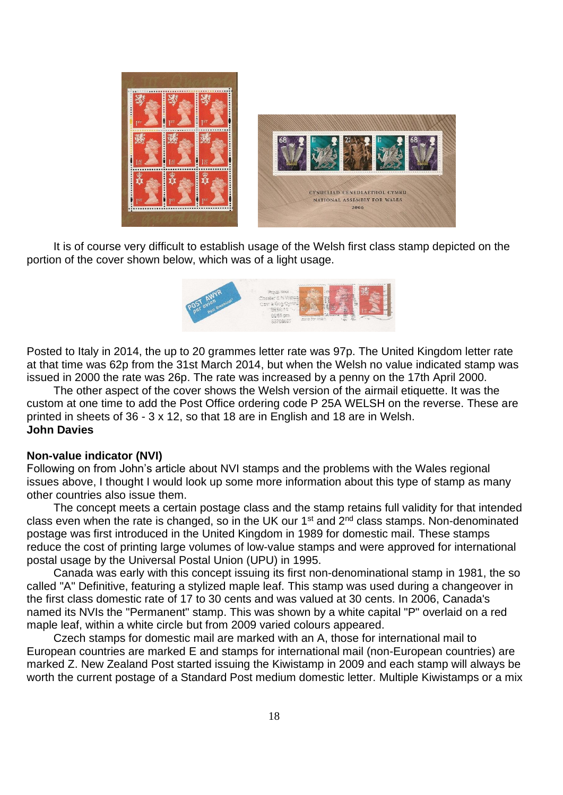

It is of course very difficult to establish usage of the Welsh first class stamp depicted on the portion of the cover shown below, which was of a light usage.



Posted to Italy in 2014, the up to 20 grammes letter rate was 97p. The United Kingdom letter rate at that time was 62p from the 31st March 2014, but when the Welsh no value indicated stamp was issued in 2000 the rate was 26p. The rate was increased by a penny on the 17th April 2000.

The other aspect of the cover shows the Welsh version of the airmail etiquette. It was the custom at one time to add the Post Office ordering code P 25A WELSH on the reverse. These are printed in sheets of 36 - 3 x 12, so that 18 are in English and 18 are in Welsh. **John Davies**

#### **Non-value indicator (NVI)**

Following on from John's article about NVI stamps and the problems with the Wales regional issues above, I thought I would look up some more information about this type of stamp as many other countries also issue them.

The concept meets a certain postage class and the stamp retains full validity for that intended class even when the rate is changed, so in the UK our  $1<sup>st</sup>$  and  $2<sup>nd</sup>$  class stamps. Non-denominated postage was first introduced in the United Kingdom in 1989 for domestic mail. These stamps reduce the cost of printing large volumes of low-value stamps and were approved for international postal usage by the [Universal](https://en.m.wikipedia.org/wiki/Universal_Postal_Union) Postal Union (UPU) in 1995.

Canada was early with this concept issuing its first non-denominational stamp in 1981, the so called "A" Definitive, featuring a stylized maple leaf. This stamp was used during a changeover in the first class domestic rate of 17 to 30 cents and was valued at 30 cents. In 2006, Canada's named its NVIs the "Permanent" stamp. This was shown by a white capital "P" overlaid on a red maple leaf, within a white circle but from 2009 varied colours appeared.

Czech stamps for domestic mail are marked with an A, those for international mail to European countries are marked E and stamps for international mail (non-European countries) are marked Z. New [Zealand](https://en.m.wikipedia.org/wiki/New_Zealand_Post) Post started issuing the Kiwistamp in 2009 and each stamp will always be worth the current postage of a Standard Post medium domestic letter. Multiple Kiwistamps or a mix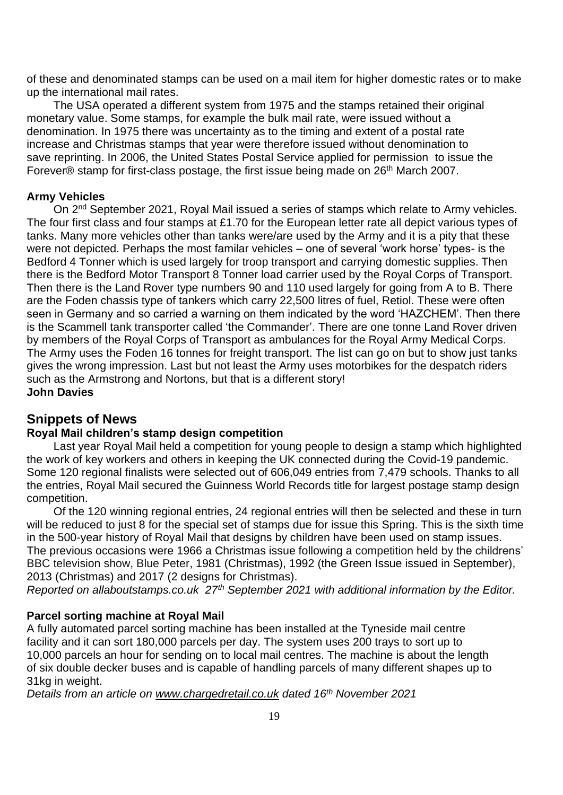of these and denominated stamps can be used on a mail item for higher domestic rates or to make up the international mail rates.

The USA operated a different system from 1975 and the stamps retained their original monetary value. Some stamps, for example the [bulk](https://en.m.wikipedia.org/wiki/Bulk_mail) mail rate, were issued without a denomination. In 1975 there was uncertainty as to the timing and extent of a postal rate increase and Christmas stamps that year were therefore issued without denomination to save reprinting. In 2006, the United States Postal Service applied for permission to issue the Forever® stamp for [first-class](https://en.m.wikipedia.org/wiki/Mail#First-Class) postage, the first issue being made on 26<sup>th</sup> March 2007.

### **Army Vehicles**

On 2<sup>nd</sup> September 2021, Royal Mail issued a series of stamps which relate to Army vehicles. The four first class and four stamps at £1.70 for the European letter rate all depict various types of tanks. Many more vehicles other than tanks were/are used by the Army and it is a pity that these were not depicted. Perhaps the most familar vehicles – one of several 'work horse' types- is the Bedford 4 Tonner which is used largely for troop transport and carrying domestic supplies. Then there is the Bedford Motor Transport 8 Tonner load carrier used by the Royal Corps of Transport. Then there is the Land Rover type numbers 90 and 110 used largely for going from A to B. There are the Foden chassis type of tankers which carry 22,500 litres of fuel, Retiol. These were often seen in Germany and so carried a warning on them indicated by the word 'HAZCHEM'. Then there is the Scammell tank transporter called 'the Commander'. There are one tonne Land Rover driven by members of the Royal Corps of Transport as ambulances for the Royal Army Medical Corps. The Army uses the Foden 16 tonnes for freight transport. The list can go on but to show just tanks gives the wrong impression. Last but not least the Army uses motorbikes for the despatch riders such as the Armstrong and Nortons, but that is a different story! **John Davies**

### **Snippets of News**

### **Royal Mail children's stamp design competition**

Last year Royal Mail held a competition for young people to design a stamp which highlighted the work of key workers and others in keeping the UK connected during the Covid-19 pandemic. Some 120 regional finalists were selected out of 606,049 entries from 7,479 schools. Thanks to all the entries, Royal Mail secured the Guinness World Records title for largest postage stamp design competition.

Of the 120 winning regional entries, 24 regional entries will then be selected and these in turn will be reduced to just 8 for the special set of stamps due for issue this Spring. This is the sixth time in the 500-year history of Royal Mail that designs by children have been used on stamp issues. The previous occasions were 1966 a Christmas issue following a competition held by the childrens' BBC television show, Blue Peter, 1981 (Christmas), 1992 (the Green Issue issued in September), 2013 (Christmas) and 2017 (2 designs for Christmas).

*Reported on allaboutstamps.co.uk 27th September 2021 with additional information by the Editor.*

### **Parcel sorting machine at Royal Mail**

A fully automated parcel sorting machine has been installed at the Tyneside mail centre facility and it can sort 180,000 parcels per day. The system uses 200 trays to sort up to 10,000 parcels an hour for sending on to local mail centres. The machine is about the length of six double decker buses and is capable of handling parcels of many different shapes up to 31kg in weight.

*Details from an article on [www.chargedretail.co.uk](http://www.chargedretail.co.uk/) dated 16th November 2021*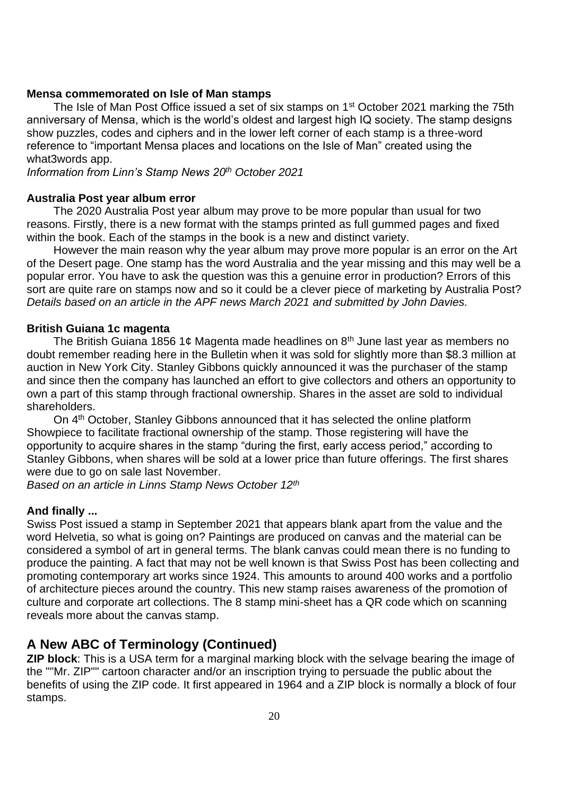### **Mensa commemorated on Isle of Man stamps**

The Isle of Man Post Office issued a set of six stamps on 1<sup>st</sup> October 2021 marking the 75th anniversary of Mensa, which is the world's oldest and largest high IQ society. The stamp designs show puzzles, codes and ciphers and in the lower left corner of each stamp is a three-word reference to "important Mensa places and locations on the Isle of Man" created using the what3words app.

*Information from Linn's Stamp News 20th October 2021*

### **Australia Post year album error**

The 2020 Australia Post year album may prove to be more popular than usual for two reasons. Firstly, there is a new format with the stamps printed as full gummed pages and fixed within the book. Each of the stamps in the book is a new and distinct variety.

However the main reason why the year album may prove more popular is an error on the Art of the Desert page. One stamp has the word Australia and the year missing and this may well be a popular error. You have to ask the question was this a genuine error in production? Errors of this sort are quite rare on stamps now and so it could be a clever piece of marketing by Australia Post? *Details based on an article in the APF news March 2021 and submitted by John Davies.*

#### **British Guiana 1c magenta**

The British Guiana 1856 1¢ Magenta made headlines on  $8<sup>th</sup>$  June last year as members no doubt remember reading here in the Bulletin when it was sold for slightly more than \$8.3 million at auction in New York City. Stanley Gibbons quickly announced it was the purchaser of the stamp and since then the company has launched an effort to give collectors and others an opportunity to own a part of this stamp through fractional ownership. Shares in the asset are sold to individual shareholders.

On 4th October, Stanley Gibbons announced that it has selected the online platform Showpiece to facilitate fractional ownership of the stamp. Those registering will have the opportunity to acquire shares in the stamp "during the first, early access period," according to Stanley Gibbons, when shares will be sold at a lower price than future offerings. The first shares were due to go on sale last November.

*Based on an article in Linns Stamp News October 12th*

### **And finally ...**

Swiss Post issued a stamp in September 2021 that appears blank apart from the value and the word Helvetia, so what is going on? Paintings are produced on canvas and the material can be considered a symbol of art in general terms. The blank canvas could mean there is no funding to produce the painting. A fact that may not be well known is that Swiss Post has been collecting and promoting contemporary art works since 1924. This amounts to around 400 works and a portfolio of architecture pieces around the country. This new stamp raises awareness of the promotion of culture and corporate art collections. The 8 stamp mini-sheet has a QR code which on scanning reveals more about the canvas stamp.

### **A New ABC of Terminology (Continued)**

**ZIP block**: This is a USA term for a marginal marking block with the selvage bearing the image of the ""Mr. ZIP"" cartoon character and/or an inscription trying to persuade the public about the benefits of using the ZIP code. It first appeared in 1964 and a ZIP block is normally a block of four stamps.